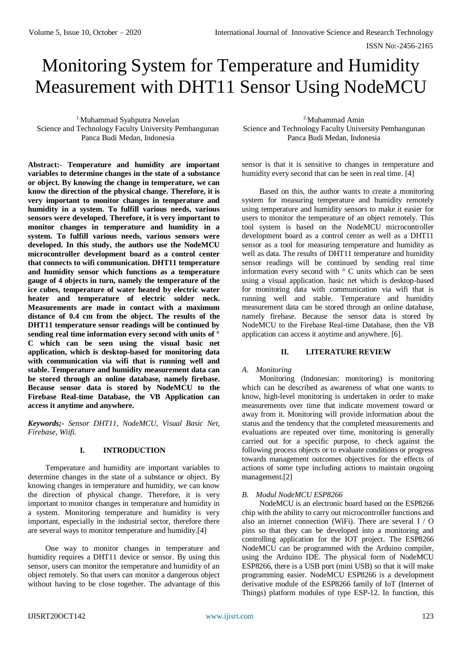# Monitoring System for Temperature and Humidity Measurement with DHT11 Sensor Using NodeMCU

1.Muhammad Syahputra Novelan Science and Technology Faculty University Pembangunan Panca Budi Medan, Indonesia

**Abstract:- Temperature and humidity are important variables to determine changes in the state of a substance or object. By knowing the change in temperature, we can know the direction of the physical change. Therefore, it is very important to monitor changes in temperature and humidity in a system. To fulfill various needs, various sensors were developed. Therefore, it is very important to monitor changes in temperature and humidity in a system. To fulfill various needs, various sensors were developed. In this study, the authors use the NodeMCU microcontroller development board as a control center that connects to wifi communication. DHT11 temperature and humidity sensor which functions as a temperature gauge of 4 objects in turn, namely the temperature of the ice cubes, temperature of water heated by electric water heater and temperature of electric solder neck. Measurements are made in contact with a maximum distance of 0.4 cm from the object. The results of the DHT11 temperature sensor readings will be continued by sending real time information every second with units of ° C which can be seen using the visual basic net application, which is desktop-based for monitoring data with communication via wifi that is running well and stable. Temperature and humidity measurement data can be stored through an online database, namely firebase. Because sensor data is stored by NodeMCU to the Firebase Real-time Database, the VB Application can access it anytime and anywhere.**

*Keywords;- Sensor DHT11, NodeMCU, Visual Basic Net, Firebase, Wiifi.*

# **I. INTRODUCTION**

Temperature and humidity are important variables to determine changes in the state of a substance or object. By knowing changes in temperature and humidity, we can know the direction of physical change. Therefore, it is very important to monitor changes in temperature and humidity in a system. Monitoring temperature and humidity is very important, especially in the industrial sector, therefore there are several ways to monitor temperature and humidity.[4]

One way to monitor changes in temperature and humidity requires a DHT11 device or sensor. By using this sensor, users can monitor the temperature and humidity of an object remotely. So that users can monitor a dangerous object without having to be close together. The advantage of this

2.Muhammad Amin Science and Technology Faculty University Pembangunan Panca Budi Medan, Indonesia

sensor is that it is sensitive to changes in temperature and humidity every second that can be seen in real time. [4]

Based on this, the author wants to create a monitoring system for measuring temperature and humidity remotely using temperature and humidity sensors to make it easier for users to monitor the temperature of an object remotely. This tool system is based on the NodeMCU microcontroller development board as a control center as well as a DHT11 sensor as a tool for measuring temperature and humidity as well as data. The results of DHT11 temperature and humidity sensor readings will be continued by sending real time information every second with ° C units which can be seen using a visual application. basic net which is desktop-based for monitoring data with communication via wifi that is running well and stable. Temperature and humidity measurement data can be stored through an online database, namely firebase. Because the sensor data is stored by NodeMCU to the Firebase Real-time Database, then the VB application can access it anytime and anywhere. [6].

# **II. LITERATURE REVIEW**

# *A. Monitoring*

Monitoring (Indonesian: monitoring) is monitoring which can be described as awareness of what one wants to know, high-level monitoring is undertaken in order to make measurements over time that indicate movement toward or away from it. Monitoring will provide information about the status and the tendency that the completed measurements and evaluations are repeated over time, monitoring is generally carried out for a specific purpose, to check against the following process objects or to evaluate conditions or progress towards management outcomes objectives for the effects of actions of some type including actions to maintain ongoing management.[2]

# *B. Modul NodeMCU ESP8266*

NodeMCU is an electronic board based on the ESP8266 chip with the ability to carry out microcontroller functions and also an internet connection (WiFi). There are several I / O pins so that they can be developed into a monitoring and controlling application for the IOT project. The ESP8266 NodeMCU can be programmed with the Arduino compiler, using the Arduino IDE. The physical form of NodeMCU ESP8266, there is a USB port (mini USB) so that it will make programming easier. NodeMCU ESP8266 is a development derivative module of the ESP8266 family of IoT (Internet of Things) platform modules of type ESP-12. In function, this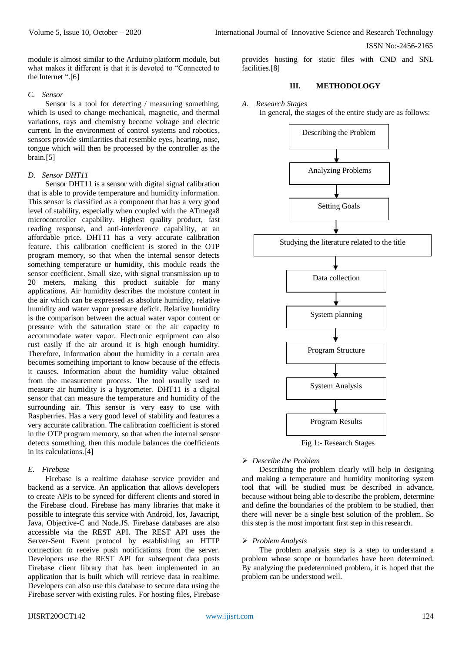module is almost similar to the Arduino platform module, but what makes it different is that it is devoted to "Connected to the Internet ".[6]

#### *C. Sensor*

Sensor is a tool for detecting / measuring something, which is used to change mechanical, magnetic, and thermal variations, rays and chemistry become voltage and electric current. In the environment of control systems and robotics, sensors provide similarities that resemble eyes, hearing, nose, tongue which will then be processed by the controller as the brain.[5]

# *D. Sensor DHT11*

Sensor DHT11 is a sensor with digital signal calibration that is able to provide temperature and humidity information. This sensor is classified as a component that has a very good level of stability, especially when coupled with the ATmega8 microcontroller capability. Highest quality product, fast reading response, and anti-interference capability, at an affordable price. DHT11 has a very accurate calibration feature. This calibration coefficient is stored in the OTP program memory, so that when the internal sensor detects something temperature or humidity, this module reads the sensor coefficient. Small size, with signal transmission up to 20 meters, making this product suitable for many applications. Air humidity describes the moisture content in the air which can be expressed as absolute humidity, relative humidity and water vapor pressure deficit. Relative humidity is the comparison between the actual water vapor content or pressure with the saturation state or the air capacity to accommodate water vapor. Electronic equipment can also rust easily if the air around it is high enough humidity. Therefore, Information about the humidity in a certain area becomes something important to know because of the effects it causes. Information about the humidity value obtained from the measurement process. The tool usually used to measure air humidity is a hygrometer. DHT11 is a digital sensor that can measure the temperature and humidity of the surrounding air. This sensor is very easy to use with Raspberries. Has a very good level of stability and features a very accurate calibration. The calibration coefficient is stored in the OTP program memory, so that when the internal sensor detects something, then this module balances the coefficients in its calculations.[4]

# *E. Firebase*

Firebase is a realtime database service provider and backend as a service. An application that allows developers to create APIs to be synced for different clients and stored in the Firebase cloud. Firebase has many libraries that make it possible to integrate this service with Android, Ios, Javacript, Java, Objective-C and Node.JS. Firebase databases are also accessible via the REST API. The REST API uses the Server-Sent Event protocol by establishing an HTTP connection to receive push notifications from the server. Developers use the REST API for subsequent data posts Firebase client library that has been implemented in an application that is built which will retrieve data in realtime. Developers can also use this database to secure data using the Firebase server with existing rules. For hosting files, Firebase provides hosting for static files with CND and SNL facilities.[8]

# **III. METHODOLOGY**

## *A. Research Stages*

In general, the stages of the entire study are as follows:



Fig 1:- Research Stages

# *Describe the Problem*

Describing the problem clearly will help in designing and making a temperature and humidity monitoring system tool that will be studied must be described in advance, because without being able to describe the problem, determine and define the boundaries of the problem to be studied, then there will never be a single best solution of the problem. So this step is the most important first step in this research.

# *Problem Analysis*

The problem analysis step is a step to understand a problem whose scope or boundaries have been determined. By analyzing the predetermined problem, it is hoped that the problem can be understood well.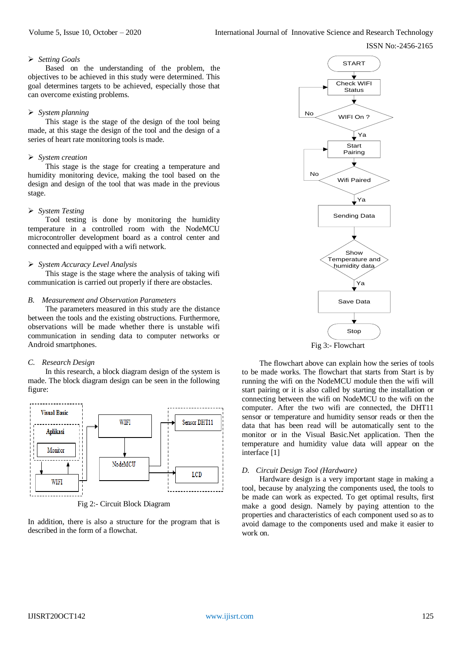ISSN No:-2456-2165

#### *Setting Goals*

Based on the understanding of the problem, the objectives to be achieved in this study were determined. This goal determines targets to be achieved, especially those that can overcome existing problems.

## *System planning*

This stage is the stage of the design of the tool being made, at this stage the design of the tool and the design of a series of heart rate monitoring tools is made.

#### *System creation*

This stage is the stage for creating a temperature and humidity monitoring device, making the tool based on the design and design of the tool that was made in the previous stage.

#### *System Testing*

Tool testing is done by monitoring the humidity temperature in a controlled room with the NodeMCU microcontroller development board as a control center and connected and equipped with a wifi network.

#### *System Accuracy Level Analysis*

This stage is the stage where the analysis of taking wifi communication is carried out properly if there are obstacles.

#### *B. Measurement and Observation Parameters*

The parameters measured in this study are the distance between the tools and the existing obstructions. Furthermore, observations will be made whether there is unstable wifi communication in sending data to computer networks or Android smartphones.

# *C. Research Design*

In this research, a block diagram design of the system is made. The block diagram design can be seen in the following figure:



Fig 2:- Circuit Block Diagram

In addition, there is also a structure for the program that is described in the form of a flowchat.





The flowchart above can explain how the series of tools to be made works. The flowchart that starts from Start is by running the wifi on the NodeMCU module then the wifi will start pairing or it is also called by starting the installation or connecting between the wifi on NodeMCU to the wifi on the computer. After the two wifi are connected, the DHT11 sensor or temperature and humidity sensor reads or then the data that has been read will be automatically sent to the monitor or in the Visual Basic.Net application. Then the temperature and humidity value data will appear on the interface [1]

# *D. Circuit Design Tool (Hardware)*

Hardware design is a very important stage in making a tool, because by analyzing the components used, the tools to be made can work as expected. To get optimal results, first make a good design. Namely by paying attention to the properties and characteristics of each component used so as to avoid damage to the components used and make it easier to work on.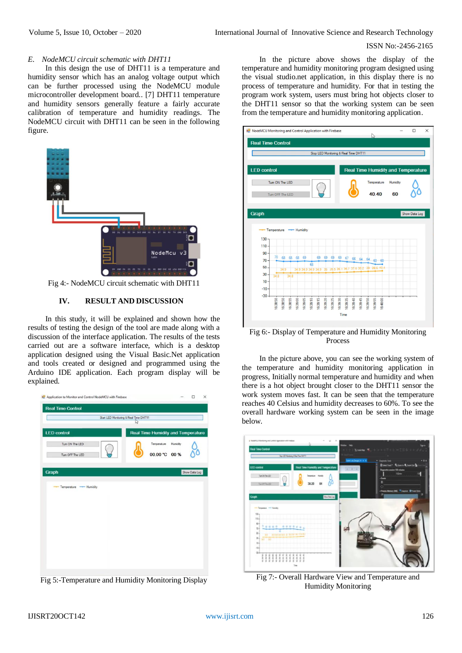#### *E. NodeMCU circuit schematic with DHT11*

In this design the use of DHT11 is a temperature and humidity sensor which has an analog voltage output which can be further processed using the NodeMCU module microcontroller development board.. [7] DHT11 temperature and humidity sensors generally feature a fairly accurate calibration of temperature and humidity readings. The NodeMCU circuit with DHT11 can be seen in the following figure.



Fig 4:- NodeMCU circuit schematic with DHT11

# **IV. RESULT AND DISCUSSION**

In this study, it will be explained and shown how the results of testing the design of the tool are made along with a discussion of the interface application. The results of the tests carried out are a software interface, which is a desktop application designed using the Visual Basic.Net application and tools created or designed and programmed using the Arduino IDE application. Each program display will be explained.



Fig 5:-Temperature and Humidity Monitoring Display

In the picture above shows the display of the temperature and humidity monitoring program designed using the visual studio.net application, in this display there is no process of temperature and humidity. For that in testing the program work system, users must bring hot objects closer to the DHT11 sensor so that the working system can be seen from the temperature and humidity monitoring application.



Fig 6:- Display of Temperature and Humidity Monitoring Process

In the picture above, you can see the working system of the temperature and humidity monitoring application in progress, Initially normal temperature and humidity and when there is a hot object brought closer to the DHT11 sensor the work system moves fast. It can be seen that the temperature reaches 40 Celsius and humidity decreases to 60%. To see the overall hardware working system can be seen in the image below.



Fig 7:- Overall Hardware View and Temperature and Humidity Monitoring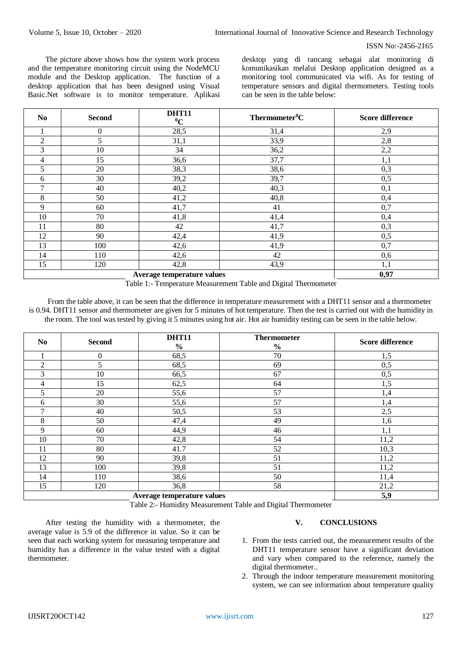The picture above shows how the system work process and the temperature monitoring circuit using the NodeMCU module and the Desktop application. The function of a desktop application that has been designed using Visual Basic.Net software is to monitor temperature. Aplikasi desktop yang di rancang sebagai alat monitoring di komunikasikan melalui Desktop application designed as a monitoring tool communicated via wifi. As for testing of temperature sensors and digital thermometers. Testing tools can be seen in the table below:

| $\bf No$       | <b>Second</b>               | <b>DHT11</b><br>$\rm ^0C$ | Thermometer <sup>0</sup> C | <b>Score difference</b> |
|----------------|-----------------------------|---------------------------|----------------------------|-------------------------|
|                | $\theta$                    | 28,5                      | 31,4                       | 2,9                     |
| $\overline{2}$ | 5                           | 31,1                      | 33,9                       | 2,8                     |
| 3              | 10                          | 34                        | 36,2                       | 2,2                     |
| 4              | 15                          | 36,6                      | 37,7                       | 1,1                     |
| 5              | 20                          | 38,3                      | 38,6                       | 0,3                     |
| 6              | 30                          | 39,2                      | 39,7                       | 0,5                     |
| 7              | 40                          | 40,2                      | 40,3                       | 0,1                     |
| 8              | 50                          | 41,2                      | 40,8                       | 0,4                     |
| 9              | 60                          | 41,7                      | 41                         | 0,7                     |
| 10             | 70                          | 41,8                      | 41,4                       | 0,4                     |
| 11             | 80                          | 42                        | 41,7                       | 0,3                     |
| 12             | 90                          | 42,4                      | 41,9                       | 0,5                     |
| 13             | 100                         | 42,6                      | 41,9                       | 0,7                     |
| 14             | 110                         | 42,6                      | 42                         | 0,6                     |
| 15             | 120                         | 42,8                      | 43,9                       | 1,1                     |
|                | A royage tompowetime relige | 0.07                      |                            |                         |

**Average temperature values 0,97**

Table 1:- Temperature Measurement Table and Digital Thermometer

From the table above, it can be seen that the difference in temperature measurement with a DHT11 sensor and a thermometer is 0.94. DHT11 sensor and thermometer are given for 5 minutes of hot temperature. Then the test is carried out with the humidity in the room. The tool was tested by giving it 5 minutes using hot air. Hot air humidity testing can be seen in the table below.

| N <sub>0</sub> | <b>Second</b>              | <b>DHT11</b>  | <b>Thermometer</b> | <b>Score difference</b> |
|----------------|----------------------------|---------------|--------------------|-------------------------|
|                |                            | $\frac{0}{0}$ | $\frac{0}{0}$      |                         |
| $\mathbf{I}$   | $\mathbf{0}$               | 68,5          | 70                 | 1,5                     |
| $\overline{2}$ | 5                          | 68,5          | 69                 | 0,5                     |
| 3              | 10                         | 66,5          | 67                 | 0,5                     |
| 4              | 15                         | 62,5          | 64                 | 1,5                     |
| 5              | 20                         | 55,6          | 57                 | 1,4                     |
| 6              | 30                         | 55,6          | 57                 | 1,4                     |
| 7              | 40                         | 50,5          | 53                 | 2,5                     |
| 8              | 50                         | 47,4          | 49                 | 1,6                     |
| 9              | 60                         | 44,9          | 46                 | 1,1                     |
| 10             | 70                         | 42,8          | 54                 | 11,2                    |
| 11             | 80                         | 41.7          | 52                 | 10,3                    |
| 12             | 90                         | 39,8          | 51                 | 11,2                    |
| 13             | 100                        | 39,8          | 51                 | 11,2                    |
| 14             | 110                        | 38,6          | 50                 | 11,4                    |
| 15             | 120                        | 36,8          | 58                 | 21,2                    |
|                | Average temperature values | 5,9           |                    |                         |

Table 2:- Humidity Measurement Table and Digital Thermometer

After testing the humidity with a thermometer, the average value is 5.9 of the difference in value. So it can be seen that each working system for measuring temperature and humidity has a difference in the value tested with a digital thermometer.

#### **V. CONCLUSIONS**

- 1. From the tests carried out, the measurement results of the DHT11 temperature sensor have a significant deviation and vary when compared to the reference, namely the digital thermometer..
- 2. Through the indoor temperature measurement monitoring system, we can see information about temperature quality